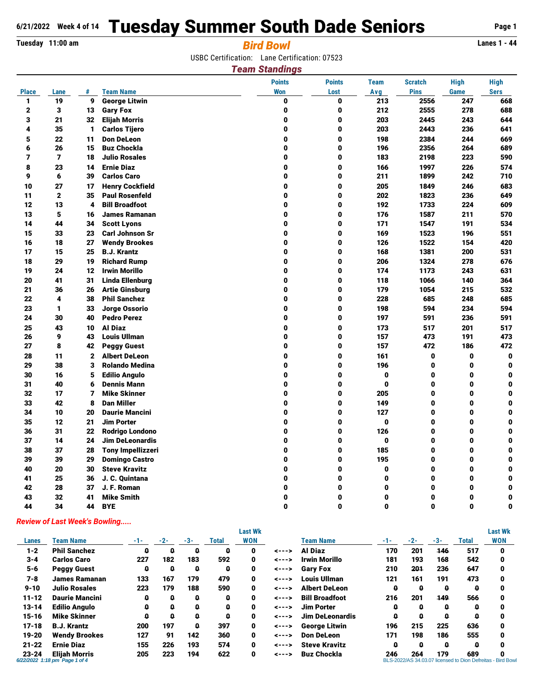# **6/21/2022 Week 4 of 14 Tuesday Summer South Dade Seniors** Page 1

## **Tuesday 11:00 am** *Bird Bowl* **Lanes 1 - 44**

USBC Certification: Lane Certification: 07523

#### *Team Standings*

|              |                |                |                          | <b>Points</b> | <b>Points</b> | <b>Team</b>  | <b>Scratch</b> | <b>High</b>  | <b>High</b>  |
|--------------|----------------|----------------|--------------------------|---------------|---------------|--------------|----------------|--------------|--------------|
| <b>Place</b> | Lane           | #              | <b>Team Name</b>         | <b>Won</b>    | Lost          | Avg          | <b>Pins</b>    | Game         | <b>Sers</b>  |
| $\mathbf{1}$ | 19             | 9              | <b>George Litwin</b>     | 0             | 0             | 213          | 2556           | 247          | 668          |
| $\mathbf{2}$ | 3              | 13             | <b>Gary Fox</b>          | 0             | 0             | 212          | 2555           | 278          | 688          |
| 3            | 21             | 32             | <b>Elijah Morris</b>     | 0             | 0             | 203          | 2445           | 243          | 644          |
| 4            | 35             | 1              | <b>Carlos Tijero</b>     | 0             | 0             | 203          | 2443           | 236          | 641          |
| 5            | 22             | 11             | <b>Don DeLeon</b>        | 0             | 0             | 198          | 2384           | 244          | 669          |
| 6            | 26             | 15             | <b>Buz Chockla</b>       | 0             | 0             | 196          | 2356           | 264          | 689          |
| 7            | $\overline{7}$ | 18             | <b>Julio Rosales</b>     | 0             | 0             | 183          | 2198           | 223          | 590          |
| 8            | 23             | 14             | <b>Ernie Diaz</b>        | 0             | 0             | 166          | 1997           | 226          | 574          |
| 9            | 6              | 39             | <b>Carlos Caro</b>       | 0             | 0             | 211          | 1899           | 242          | 710          |
| 10           | 27             | 17             | <b>Henry Cockfield</b>   | 0             | 0             | 205          | 1849           | 246          | 683          |
| 11           | $\mathbf{2}$   | 35             | <b>Paul Rosenfeld</b>    | 0             | 0             | 202          | 1823           | 236          | 649          |
| 12           | 13             | 4              | <b>Bill Broadfoot</b>    | 0             | 0             | 192          | 1733           | 224          | 609          |
| 13           | 5              | 16             | <b>James Ramanan</b>     | 0             | 0             | 176          | 1587           | 211          | 570          |
| 14           | 44             | 34             | <b>Scott Lyons</b>       | 0             | 0             | 171          | 1547           | 191          | 534          |
| 15           | 33             | 23             | <b>Carl Johnson Sr</b>   | 0             | 0             | 169          | 1523           | 196          | 551          |
| 16           | 18             | 27             | <b>Wendy Brookes</b>     | 0             | 0             | 126          | 1522           | 154          | 420          |
| 17           | 15             | 25             | <b>B.J. Krantz</b>       | 0             | 0             | 168          | 1381           | 200          | 531          |
| 18           | 29             | 19             | <b>Richard Rump</b>      | 0             | 0             | 206          | 1324           | 278          | 676          |
| 19           | 24             | 12             | <b>Irwin Morillo</b>     | 0             | 0             | 174          | 1173           | 243          | 631          |
| 20           | 41             | 31             | <b>Linda Ellenburg</b>   | 0             | 0             | 118          | 1066           | 140          | 364          |
| 21           | 36             | 26             | <b>Artie Ginsburg</b>    | $\bf{0}$      | 0             | 179          | 1054           | 215          | 532          |
| 22           | 4              | 38             | <b>Phil Sanchez</b>      | 0             | 0             | 228          | 685            | 248          | 685          |
| 23           | 1              | 33             | Jorge Ossorio            | 0             | 0             | 198          | 594            | 234          | 594          |
| 24           | 30             | 40             | <b>Pedro Perez</b>       | 0             | 0             | 197          | 591            | 236          | 591          |
| 25           | 43             | 10             | <b>Al Diaz</b>           | 0             | 0             | 173          | 517            | 201          | 517          |
| 26           | 9              | 43             | <b>Louis Ullman</b>      | 0             | 0             | 157          | 473            | 191          | 473          |
| 27           | 8              | 42             | <b>Peggy Guest</b>       | 0             | $\mathbf{0}$  | 157          | 472            | 186          | 472          |
| 28           | 11             | $\mathbf{2}$   | <b>Albert DeLeon</b>     | 0             | 0             | 161          | $\pmb{0}$      | 0            | $\mathbf{0}$ |
| 29           | 38             | 3              | <b>Rolando Medina</b>    | 0             | 0             | 196          | $\pmb{0}$      | 0            | 0            |
| 30           | 16             | 5              | <b>Edilio Angulo</b>     | 0             | $\mathbf{0}$  | 0            | $\mathbf{0}$   | 0            | 0            |
| 31           | 40             | 6              | <b>Dennis Mann</b>       | 0             | 0             | $\mathbf{0}$ | $\mathbf 0$    | 0            | 0            |
| 32           | 17             | $\overline{ }$ | <b>Mike Skinner</b>      | 0             | 0             | 205          | 0              | 0            | 0            |
| 33           | 42             | 8              | <b>Dan Miller</b>        | 0             | 0             | 149          | 0              | 0            | 0            |
| 34           | 10             | 20             | <b>Daurie Mancini</b>    | 0             | 0             | 127          | 0              | 0            | 0            |
| 35           | 12             | 21             | <b>Jim Porter</b>        | 0             | 0             | $\mathbf 0$  | $\mathbf 0$    | 0            | 0            |
| 36           | 31             | 22             | <b>Rodrigo Londono</b>   | 0             | 0             | 126          | $\pmb{0}$      | 0            | 0            |
| 37           | 14             | 24             | <b>Jim DeLeonardis</b>   | 0             | 0             | $\mathbf 0$  | 0              | 0            | 0            |
| 38           | 37             | 28             | <b>Tony Impellizzeri</b> | 0             | $\mathbf{0}$  | 185          | $\mathbf{0}$   | 0            | 0            |
| 39           | 39             | 29             | <b>Domingo Castro</b>    | 0             | 0             | 195          | 0              | 0            | 0            |
| 40           | 20             | 30             | <b>Steve Kravitz</b>     | 0             | 0             | 0            | $\bf{0}$       | 0            | 0            |
| 41           | 25             | 36             | J. C. Quintana           | 0             | $\bf{0}$      | $\bf{0}$     | $\bf{0}$       | 0            | 0            |
| 42           | 28             | 37             | J. F. Roman              | 0             | 0             | 0            | $\mathbf 0$    | 0            | 0            |
| 43           | 32             | 41             | <b>Mike Smith</b>        | 0             | 0             | $\bf{0}$     | $\bf{0}$       | 0            | 0            |
| 44           | 34             | 44             | <b>BYE</b>               | $\mathbf{0}$  | $\mathbf{0}$  | $\mathbf{0}$ | $\mathbf{0}$   | $\mathbf{0}$ | 0            |

### *Review of Last Week's Bowling.....*

|           |                                                       |       |       |     |       | <b>Last Wk</b> |       |                        |       |       |       |       | <b>Last Wk</b>                                             |
|-----------|-------------------------------------------------------|-------|-------|-----|-------|----------------|-------|------------------------|-------|-------|-------|-------|------------------------------------------------------------|
| Lanes     | <b>Team Name</b>                                      | $-1-$ | $-2-$ | -3- | Total | <b>WON</b>     |       | <b>Team Name</b>       | $-1-$ | $-2-$ | $-3-$ | Total | <b>WON</b>                                                 |
| $1 - 2$   | <b>Phil Sanchez</b>                                   | o     | o     | o   | 0     | 0              | <---> | Al Diaz                | 170   | 201   | 146   | 517   | 0                                                          |
| $3 - 4$   | <b>Carlos Caro</b>                                    | 227   | 182   | 183 | 592   | 0              | <---> | Irwin Morillo          | 181   | 193   | 168   | 542   | 0                                                          |
| $5 - 6$   | <b>Peggy Guest</b>                                    | o     | o     | 0   | 0     | 0              | <---> | <b>Gary Fox</b>        | 210   | 201   | 236   | 647   | 0                                                          |
| 7-8       | <b>James Ramanan</b>                                  | 133   | 167   | 179 | 479   | 0              | <---> | <b>Louis Ullman</b>    | 121   | 161   | 191   | 473   | 0                                                          |
| $9 - 10$  | <b>Julio Rosales</b>                                  | 223   | 179   | 188 | 590   | 0              | <---> | <b>Albert DeLeon</b>   | 0     | 0     | 0     | a     | 0                                                          |
| $11 - 12$ | <b>Daurie Mancini</b>                                 | Q     | Q     | a   | O     | 0              | <---> | <b>Bill Broadfoot</b>  | 216   | 201   | 149   | 566   | 0                                                          |
| $13 - 14$ | <b>Edilio Anaulo</b>                                  | ۵     |       | ۵   | ۵     | 0              | <---> | <b>Jim Porter</b>      | Q     | 0     | 0     | 0     |                                                            |
| $15 - 16$ | <b>Mike Skinner</b>                                   | ۵     | a     | Q   | o     | 0              | <---> | <b>Jim DeLeonardis</b> | O     | Q     | 0     | a     | n                                                          |
| $17 - 18$ | <b>B.J. Krantz</b>                                    | 200   | 197   | a   | 397   | 0              | <---> | <b>George Litwin</b>   | 196   | 215   | 225   | 636   | 0                                                          |
| $19 - 20$ | <b>Wendy Brookes</b>                                  | 127   | 91    | 142 | 360   | 0              | <---> | <b>Don DeLeon</b>      | 171   | 198   | 186   | 555   | 0                                                          |
| $21 - 22$ | <b>Ernie Diaz</b>                                     | 155   | 226   | 193 | 574   | 0              | <---> | <b>Steve Kravitz</b>   | Q     | Q     | 0     | Ω     | n                                                          |
| $23 - 24$ | <b>Elijah Morris</b><br>6/22/2022 1:18 pm Page 1 of 4 | 205   | 223   | 194 | 622   | 0              | <---> | <b>Buz Chockla</b>     | 246   | 264   | 179   | 689   | BLS-2022/AS 34.03.07 licensed to Dion Defreitas - Bird Bow |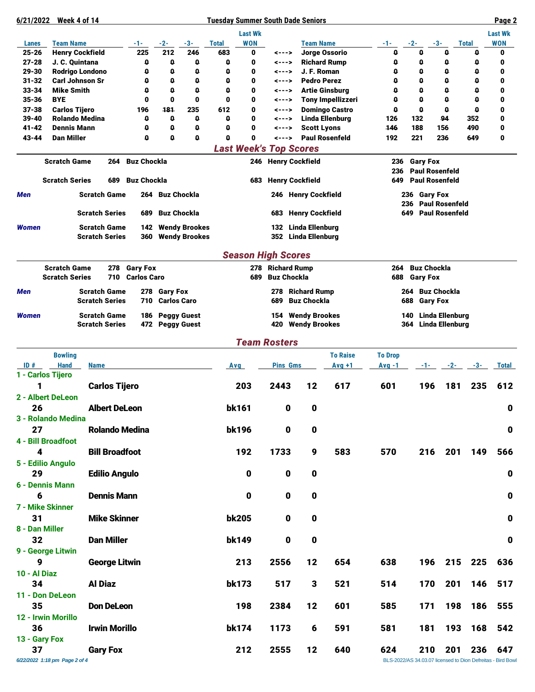#### **6/21/2022 Week 4 of 14 Tuesday Summer South Dade Seniors Page 2**

|                     |                                          |                                              |                           |                    |                                              |                   | <b>Last Wk</b>                |                    |                                               |                          |                |                   |                                                  |              |                  | <b>Last Wk</b> |
|---------------------|------------------------------------------|----------------------------------------------|---------------------------|--------------------|----------------------------------------------|-------------------|-------------------------------|--------------------|-----------------------------------------------|--------------------------|----------------|-------------------|--------------------------------------------------|--------------|------------------|----------------|
| Lanes               | <b>Team Name</b>                         |                                              | -1-                       | -2-                | -3-                                          | <b>Total</b>      | <b>WON</b>                    |                    | <b>Team Name</b>                              |                          | -1-            | -2-               | -3-                                              | <b>Total</b> |                  | <b>WON</b>     |
| 25-26               | <b>Henry Cockfield</b>                   |                                              | 225                       | 212                | 246                                          | 683               | 0                             | <--->              |                                               | Jorge Ossorio            | 0              | $\mathbf{0}$      | $\mathbf{0}$                                     |              | $\mathbf{0}$     | 0              |
| $27 - 28$<br>29-30  | J. C. Quintana<br><b>Rodrigo Londono</b> |                                              | 0<br>0                    | 0<br>۵             | 0<br>0                                       | 0<br>$\mathbf{0}$ | 0<br>0                        | <---><br><--->     | J. F. Roman                                   | <b>Richard Rump</b>      | 0<br>o         | 0<br>$\mathbf{0}$ | 0<br>o                                           |              | $\mathbf 0$<br>0 | 0<br>0         |
| $31 - 32$           | <b>Carl Johnson Sr</b>                   |                                              | 0                         | 0                  | 0                                            | 0                 | 0                             | <--->              | <b>Pedro Perez</b>                            |                          | 0              | $\mathbf 0$       | o                                                |              | 0                | 0              |
| $33 - 34$           | <b>Mike Smith</b>                        |                                              | 0                         | o                  | $\mathbf 0$                                  | 0                 | 0                             | <--->              |                                               | <b>Artie Ginsburg</b>    | 0              | $\mathbf 0$       | $\mathbf{0}$                                     |              | $\mathbf{0}$     | 0              |
| $35 - 36$           | <b>BYE</b>                               |                                              | 0                         | 0                  | 0                                            | $\bf{0}$          | 0                             | <--->              |                                               | <b>Tony Impellizzeri</b> | 0              | $\mathbf 0$       | o                                                |              | o                | 0              |
| $37 - 38$           | <b>Carlos Tijero</b>                     |                                              | 196                       | 181                | 235                                          | 612               | 0                             | <--->              |                                               | <b>Domingo Castro</b>    | 0              | $\mathbf{0}$      | $\mathbf 0$                                      |              | $\mathbf 0$      | 0              |
| 39-40<br>41-42      | <b>Rolando Medina</b><br>Dennis Mann     |                                              | 0<br>0                    | 0<br>۵             | 0<br>0                                       | 0<br>0            | 0<br>0                        | <---><br><--->     | <b>Scott Lyons</b>                            | <b>Linda Ellenburg</b>   | 126<br>146     | 132<br>188        | 94<br>156                                        |              | 352<br>490       | 0<br>0         |
| $43 - 44$           | <b>Dan Miller</b>                        |                                              | o                         | 0                  | O                                            | $\mathbf{0}$      | $\bf{0}$                      | $\leftarrow -$ >   |                                               | <b>Paul Rosenfeld</b>    | 192            | 221               | 236                                              |              | 649              | 0              |
|                     |                                          |                                              |                           |                    |                                              |                   | <b>Last Week's Top Scores</b> |                    |                                               |                          |                |                   |                                                  |              |                  |                |
|                     | <b>Scratch Game</b>                      | 264                                          | <b>Buz Chockla</b>        |                    |                                              |                   |                               |                    | 246 Henry Cockfield                           |                          | 236            | <b>Gary Fox</b>   |                                                  |              |                  |                |
|                     |                                          |                                              |                           |                    |                                              |                   |                               |                    |                                               |                          | 236            |                   | <b>Paul Rosenfeld</b>                            |              |                  |                |
|                     | <b>Scratch Series</b>                    | 689<br><b>Scratch Game</b>                   | <b>Buz Chockla</b><br>264 | Buz Chockla        |                                              |                   | 683                           |                    | <b>Henry Cockfield</b>                        |                          | 649            |                   | <b>Paul Rosenfeld</b><br>236 Gary Fox            |              |                  |                |
| Men                 |                                          |                                              |                           |                    |                                              |                   |                               |                    | 246 Henry Cockfield                           |                          |                | 236               | <b>Paul Rosenfeld</b>                            |              |                  |                |
|                     |                                          | <b>Scratch Series</b>                        | 689                       | <b>Buz Chockla</b> |                                              |                   |                               | 683                | <b>Henry Cockfield</b>                        |                          |                | 649               | <b>Paul Rosenfeld</b>                            |              |                  |                |
| <b>Women</b>        |                                          | <b>Scratch Game</b><br><b>Scratch Series</b> | 142<br>360                |                    | <b>Wendy Brookes</b><br><b>Wendy Brookes</b> |                   |                               | 132                | <b>Linda Ellenburg</b><br>352 Linda Ellenburg |                          |                |                   |                                                  |              |                  |                |
|                     |                                          |                                              |                           |                    |                                              |                   | <b>Season High Scores</b>     |                    |                                               |                          |                |                   |                                                  |              |                  |                |
|                     | <b>Scratch Game</b>                      |                                              | 278 Gary Fox              |                    |                                              |                   |                               | 278 Richard Rump   |                                               |                          | 264            |                   | <b>Buz Chockla</b>                               |              |                  |                |
|                     | <b>Scratch Series</b>                    | 710                                          | <b>Carlos Caro</b>        |                    |                                              |                   | 689                           | <b>Buz Chockla</b> |                                               |                          | 688            | <b>Gary Fox</b>   |                                                  |              |                  |                |
| Men                 |                                          | <b>Scratch Game</b>                          | 278                       | <b>Gary Fox</b>    |                                              |                   |                               | 278                | <b>Richard Rump</b>                           |                          |                | 264               | <b>Buz Chockla</b>                               |              |                  |                |
|                     |                                          | <b>Scratch Series</b>                        | 710                       | <b>Carlos Caro</b> |                                              |                   |                               | 689                | <b>Buz Chockla</b>                            |                          |                | 688               | <b>Gary Fox</b>                                  |              |                  |                |
| <b>Women</b>        |                                          | <b>Scratch Game</b><br><b>Scratch Series</b> | 186                       | 472 Peggy Guest    | <b>Peggy Guest</b>                           |                   |                               | 154<br>420         | <b>Wendy Brookes</b><br><b>Wendy Brookes</b>  |                          |                | 140<br>364        | <b>Linda Ellenburg</b><br><b>Linda Ellenburg</b> |              |                  |                |
|                     |                                          |                                              |                           |                    |                                              |                   |                               |                    |                                               |                          |                |                   |                                                  |              |                  |                |
|                     |                                          |                                              |                           |                    |                                              |                   |                               |                    |                                               |                          |                |                   |                                                  |              |                  |                |
|                     |                                          |                                              |                           |                    |                                              |                   | <b>Team Rosters</b>           |                    |                                               |                          |                |                   |                                                  |              |                  |                |
|                     | <b>Bowling</b>                           |                                              |                           |                    |                                              |                   |                               |                    |                                               | <b>To Raise</b>          | <b>To Drop</b> |                   |                                                  |              |                  |                |
| ID#                 | <b>Hand</b>                              | <b>Name</b>                                  |                           |                    |                                              | Avg               |                               | <b>Pins Gms</b>    |                                               | $Avg +1$                 | $Avg -1$       |                   | $-1-$                                            | $-2-$        | $-3-$            | <b>Total</b>   |
| 1                   | 1 - Carlos Tijero                        | <b>Carlos Tijero</b>                         |                           |                    |                                              |                   | 203                           | 2443               | 12                                            | 617                      | 601            |                   | 196                                              | 181          | 235              | 612            |
|                     | 2 - Albert DeLeon                        |                                              |                           |                    |                                              |                   |                               |                    |                                               |                          |                |                   |                                                  |              |                  |                |
| 26                  |                                          | <b>Albert DeLeon</b>                         |                           |                    |                                              |                   | <b>bk161</b>                  | 0                  | 0                                             |                          |                |                   |                                                  |              |                  | 0              |
|                     | 3 - Rolando Medina                       |                                              |                           |                    |                                              |                   |                               |                    |                                               |                          |                |                   |                                                  |              |                  |                |
| 27                  |                                          | <b>Rolando Medina</b>                        |                           |                    |                                              |                   | <b>bk196</b>                  | 0                  | $\bf{0}$                                      |                          |                |                   |                                                  |              |                  | $\pmb{0}$      |
|                     | 4 - Bill Broadfoot                       |                                              |                           |                    |                                              |                   |                               |                    |                                               |                          |                |                   |                                                  |              |                  |                |
| 4                   |                                          | <b>Bill Broadfoot</b>                        |                           |                    |                                              |                   | 192                           | 1733               | 9                                             | 583                      | 570            |                   | 216 201 149                                      |              |                  | 566            |
|                     | 5 - Edilio Angulo                        |                                              |                           |                    |                                              |                   |                               |                    |                                               |                          |                |                   |                                                  |              |                  |                |
| 29                  |                                          | <b>Edilio Angulo</b>                         |                           |                    |                                              |                   | 0                             | $\mathbf 0$        | $\pmb{0}$                                     |                          |                |                   |                                                  |              |                  | $\mathbf 0$    |
|                     | 6 - Dennis Mann                          |                                              |                           |                    |                                              |                   |                               |                    |                                               |                          |                |                   |                                                  |              |                  |                |
| 6                   |                                          | <b>Dennis Mann</b>                           |                           |                    |                                              |                   | $\mathbf 0$                   | $\mathbf 0$        | $\mathbf 0$                                   |                          |                |                   |                                                  |              |                  | $\mathbf 0$    |
|                     | 7 - Mike Skinner                         |                                              |                           |                    |                                              |                   |                               |                    |                                               |                          |                |                   |                                                  |              |                  |                |
| 31                  |                                          | <b>Mike Skinner</b>                          |                           |                    |                                              |                   | <b>bk205</b>                  | $\mathbf{0}$       | $\boldsymbol{0}$                              |                          |                |                   |                                                  |              |                  | $\mathbf 0$    |
| 8 - Dan Miller      |                                          |                                              |                           |                    |                                              |                   |                               |                    |                                               |                          |                |                   |                                                  |              |                  |                |
| 32                  |                                          | <b>Dan Miller</b>                            |                           |                    |                                              |                   | bk149                         | $\mathbf 0$        | $\pmb{0}$                                     |                          |                |                   |                                                  |              |                  | $\mathbf 0$    |
| 9                   | 9 - George Litwin                        | <b>George Litwin</b>                         |                           |                    |                                              |                   | 213                           | 2556               | 12                                            | 654                      | 638            |                   | 196                                              | 215 225      |                  | 636            |
| 10 - Al Diaz        |                                          |                                              |                           |                    |                                              |                   |                               |                    |                                               |                          |                |                   |                                                  |              |                  |                |
| 34                  |                                          | <b>Al Diaz</b>                               |                           |                    |                                              |                   | <b>bk173</b>                  | 517                | 3                                             | 521                      | 514            |                   | 170                                              | 201          | 146              | 517            |
|                     | 11 - Don DeLeon                          |                                              |                           |                    |                                              |                   |                               |                    |                                               |                          |                |                   |                                                  |              |                  |                |
| 35                  |                                          | <b>Don DeLeon</b>                            |                           |                    |                                              |                   | 198                           | 2384               | 12                                            | 601                      | 585            |                   | 171                                              | 198          | 186              | 555            |
|                     | 12 - Irwin Morillo                       |                                              |                           |                    |                                              |                   |                               |                    |                                               |                          |                |                   |                                                  |              |                  |                |
| 36                  |                                          | <b>Irwin Morillo</b>                         |                           |                    |                                              |                   | <b>bk174</b>                  | 1173               | 6                                             | 591                      | 581            |                   | 181                                              | 193          | 168              | 542            |
| 13 - Gary Fox<br>37 |                                          | <b>Gary Fox</b>                              |                           |                    |                                              |                   | 212                           | 2555               | 12                                            | 640                      | 624            |                   | 210                                              | 201          | 236              | 647            |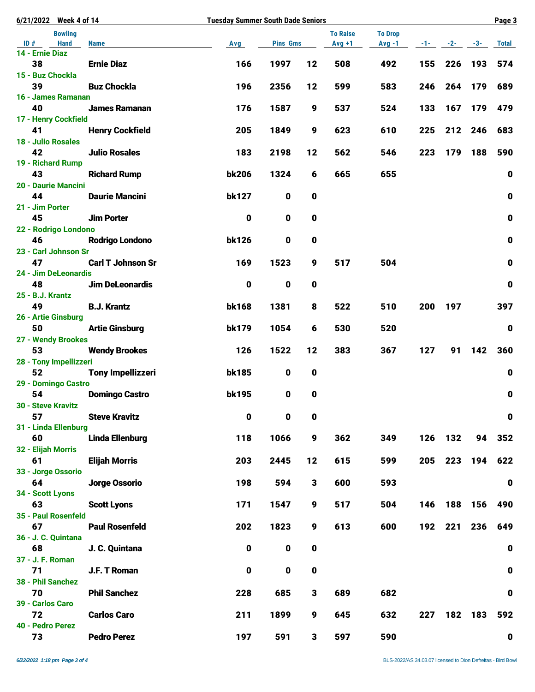| 6/21/2022 Week 4 of 14                | <b>Tuesday Summer South Dade Seniors</b> |              |                 |             |                 |                |            | Page 3  |         |             |  |
|---------------------------------------|------------------------------------------|--------------|-----------------|-------------|-----------------|----------------|------------|---------|---------|-------------|--|
| <b>Bowling</b>                        |                                          |              |                 |             | <b>To Raise</b> | <b>To Drop</b> |            |         |         |             |  |
| <b>Hand</b><br>ID#<br>14 - Ernie Diaz | <b>Name</b>                              | Avg          | <b>Pins Gms</b> |             | $Avg +1$        | $Avg -1$       | $-1$ - $-$ | $-2-$   | $-3-$   | Total       |  |
| 38                                    | <b>Ernie Diaz</b>                        | 166          | 1997            | 12          | 508             | 492            | 155        | 226     | 193     | 574         |  |
| 15 - Buz Chockla                      |                                          |              |                 |             |                 |                |            |         |         |             |  |
| 39                                    | <b>Buz Chockla</b>                       | 196          | 2356            | 12          | 599             | 583            | 246        | 264     | 179     | 689         |  |
| 16 - James Ramanan                    |                                          |              |                 |             |                 |                |            |         |         |             |  |
| 40                                    | <b>James Ramanan</b>                     | 176          | 1587            | 9           | 537             | 524            | 133        | 167     | 179     | 479         |  |
| 17 - Henry Cockfield                  |                                          |              |                 |             |                 |                |            |         |         |             |  |
| 41                                    | <b>Henry Cockfield</b>                   | 205          | 1849            | 9           | 623             | 610            | 225        | 212     | 246     | 683         |  |
| 18 - Julio Rosales<br>42              | <b>Julio Rosales</b>                     | 183          | 2198            | 12          | 562             | 546            | 223        | 179     | 188     | 590         |  |
| 19 - Richard Rump                     |                                          |              |                 |             |                 |                |            |         |         |             |  |
| 43                                    | <b>Richard Rump</b>                      | <b>bk206</b> | 1324            | 6           | 665             | 655            |            |         |         | $\mathbf 0$ |  |
| 20 - Daurie Mancini                   |                                          |              |                 |             |                 |                |            |         |         |             |  |
| 44                                    | <b>Daurie Mancini</b>                    | <b>bk127</b> | $\mathbf 0$     | 0           |                 |                |            |         |         | $\mathbf 0$ |  |
| 21 - Jim Porter                       |                                          |              |                 |             |                 |                |            |         |         |             |  |
| 45                                    | <b>Jim Porter</b>                        | $\mathbf 0$  | $\mathbf{0}$    | 0           |                 |                |            |         |         | $\mathbf 0$ |  |
| 22 - Rodrigo Londono<br>46            | <b>Rodrigo Londono</b>                   | <b>bk126</b> | 0               | 0           |                 |                |            |         |         | $\pmb{0}$   |  |
| 23 - Carl Johnson Sr                  |                                          |              |                 |             |                 |                |            |         |         |             |  |
| 47                                    | <b>Carl T Johnson Sr</b>                 | 169          | 1523            | 9           | 517             | 504            |            |         |         | $\mathbf 0$ |  |
| 24 - Jim DeLeonardis                  |                                          |              |                 |             |                 |                |            |         |         |             |  |
| 48                                    | <b>Jim DeLeonardis</b>                   | 0            | 0               | 0           |                 |                |            |         |         | $\mathbf 0$ |  |
| 25 - B.J. Krantz                      |                                          |              |                 |             |                 |                |            |         |         |             |  |
| 49                                    | <b>B.J. Krantz</b>                       | bk168        | 1381            | 8           | 522             | 510            | 200        | 197     |         | 397         |  |
| 26 - Artie Ginsburg<br>50             | <b>Artie Ginsburg</b>                    | bk179        | 1054            | 6           | 530             | 520            |            |         |         | $\bf{0}$    |  |
| 27 - Wendy Brookes                    |                                          |              |                 |             |                 |                |            |         |         |             |  |
| 53                                    | <b>Wendy Brookes</b>                     | 126          | 1522            | 12          | 383             | 367            | 127        | 91      | 142     | 360         |  |
| 28 - Tony Impellizzeri                |                                          |              |                 |             |                 |                |            |         |         |             |  |
| 52                                    | <b>Tony Impellizzeri</b>                 | <b>bk185</b> | 0               | 0           |                 |                |            |         |         | 0           |  |
| 29 - Domingo Castro                   |                                          |              |                 |             |                 |                |            |         |         |             |  |
| 54                                    | <b>Domingo Castro</b>                    | <b>bk195</b> | 0               | 0           |                 |                |            |         |         | $\mathbf 0$ |  |
| 30 - Steve Kravitz<br>57              | <b>Steve Kravitz</b>                     | 0            | $\mathbf 0$     | 0           |                 |                |            |         |         | $\mathbf 0$ |  |
| 31 - Linda Ellenburg                  |                                          |              |                 |             |                 |                |            |         |         |             |  |
| 60                                    | <b>Linda Ellenburg</b>                   | 118          | 1066            | 9           | 362             | 349            |            | 126 132 | 94      | 352         |  |
| 32 - Elijah Morris                    |                                          |              |                 |             |                 |                |            |         |         |             |  |
| 61                                    | <b>Elijah Morris</b>                     | 203          | 2445            | 12          | 615             | 599            | 205        |         | 223 194 | 622         |  |
| 33 - Jorge Ossorio                    |                                          |              |                 |             |                 |                |            |         |         |             |  |
| 64                                    | Jorge Ossorio                            | 198          | 594             | 3           | 600             | 593            |            |         |         | $\mathbf 0$ |  |
| 34 - Scott Lyons<br>63                | <b>Scott Lyons</b>                       | 171          | 1547            | 9           | 517             | 504            | 146        |         | 188 156 | 490         |  |
| 35 - Paul Rosenfeld                   |                                          |              |                 |             |                 |                |            |         |         |             |  |
| 67                                    | <b>Paul Rosenfeld</b>                    | 202          | 1823            | 9           | 613             | 600            | 192        | 221     | 236     | 649         |  |
| 36 - J. C. Quintana                   |                                          |              |                 |             |                 |                |            |         |         |             |  |
| 68                                    | J. C. Quintana                           | $\mathbf 0$  | $\mathbf 0$     | 0           |                 |                |            |         |         | $\pmb{0}$   |  |
| 37 - J. F. Roman                      |                                          |              |                 |             |                 |                |            |         |         |             |  |
| 71                                    | J.F. T Roman                             | $\mathbf 0$  | $\mathbf 0$     | $\mathbf 0$ |                 |                |            |         |         | $\mathbf 0$ |  |
| 38 - Phil Sanchez<br>70               | <b>Phil Sanchez</b>                      | 228          | 685             | 3           | 689             | 682            |            |         |         | $\mathbf 0$ |  |
| 39 - Carlos Caro                      |                                          |              |                 |             |                 |                |            |         |         |             |  |
| 72                                    | <b>Carlos Caro</b>                       | 211          | 1899            | 9           | 645             | 632            | 227        |         | 182 183 | 592         |  |
| 40 - Pedro Perez                      |                                          |              |                 |             |                 |                |            |         |         |             |  |
| 73                                    | <b>Pedro Perez</b>                       | 197          | 591             | 3           | 597             | 590            |            |         |         | $\mathbf 0$ |  |